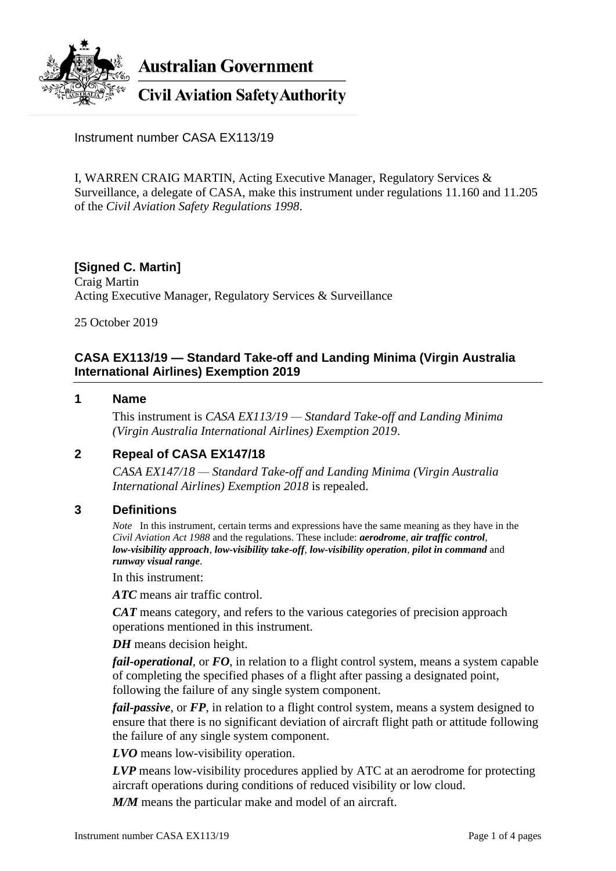

**Australian Government** 

**Civil Aviation Safety Authority** 

Instrument number CASA EX113/19

I, WARREN CRAIG MARTIN, Acting Executive Manager, Regulatory Services & Surveillance, a delegate of CASA, make this instrument under regulations 11.160 and 11.205 of the *Civil Aviation Safety Regulations 1998*.

# **[Signed C. Martin]**

Craig Martin Acting Executive Manager, Regulatory Services & Surveillance

25 October 2019

## **CASA EX113/19 — Standard Take-off and Landing Minima (Virgin Australia International Airlines) Exemption 2019**

#### **1 Name**

This instrument is *CASA EX113/19 — Standard Take-off and Landing Minima (Virgin Australia International Airlines) Exemption 2019*.

### **2 Repeal of CASA EX147/18**

*CASA EX147/18 — Standard Take-off and Landing Minima (Virgin Australia International Airlines) Exemption 2018* is repealed.

#### **3 Definitions**

*Note* In this instrument, certain terms and expressions have the same meaning as they have in the *Civil Aviation Act 1988* and the regulations. These include: *aerodrome*, *air traffic control*, *low-visibility approach*, *low-visibility take-off*, *low-visibility operation*, *pilot in command* and *runway visual range*.

In this instrument:

*ATC* means air traffic control.

*CAT* means category, and refers to the various categories of precision approach operations mentioned in this instrument.

*DH* means decision height.

*fail-operational*, or *FO*, in relation to a flight control system, means a system capable of completing the specified phases of a flight after passing a designated point, following the failure of any single system component.

*fail-passive*, or *FP*, in relation to a flight control system, means a system designed to ensure that there is no significant deviation of aircraft flight path or attitude following the failure of any single system component.

*LVO* means low-visibility operation.

*LVP* means low-visibility procedures applied by ATC at an aerodrome for protecting aircraft operations during conditions of reduced visibility or low cloud.

*M/M* means the particular make and model of an aircraft.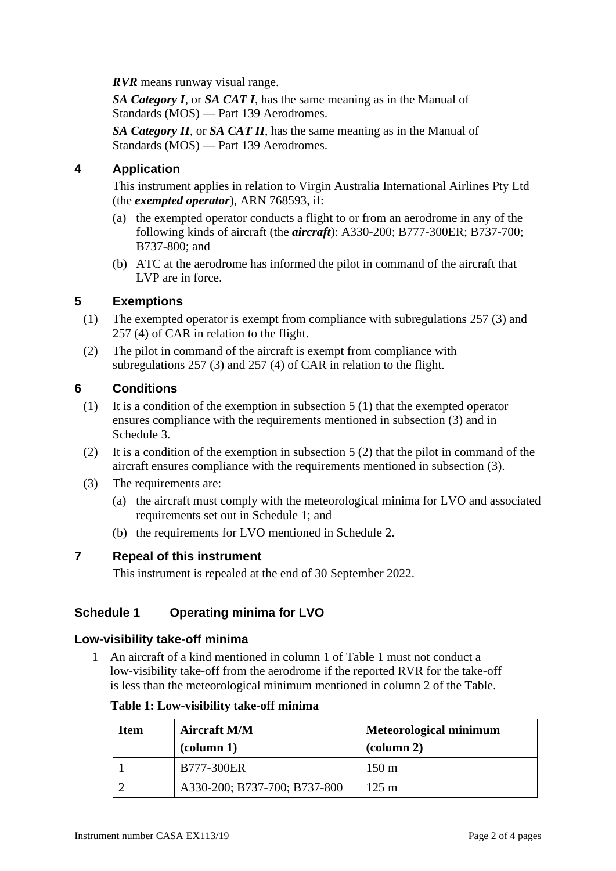*RVR* means runway visual range.

*SA Category I*, or *SA CAT I*, has the same meaning as in the Manual of Standards (MOS) — Part 139 Aerodromes.

*SA Category II*, or *SA CAT II*, has the same meaning as in the Manual of Standards (MOS) — Part 139 Aerodromes.

# **4 Application**

This instrument applies in relation to Virgin Australia International Airlines Pty Ltd (the *exempted operator*), ARN 768593, if:

- (a) the exempted operator conducts a flight to or from an aerodrome in any of the following kinds of aircraft (the *aircraft*): A330-200; B777-300ER; B737-700; B737-800; and
- (b) ATC at the aerodrome has informed the pilot in command of the aircraft that LVP are in force.

### **5 Exemptions**

- (1) The exempted operator is exempt from compliance with subregulations 257 (3) and 257 (4) of CAR in relation to the flight.
- (2) The pilot in command of the aircraft is exempt from compliance with subregulations 257 (3) and 257 (4) of CAR in relation to the flight.

### **6 Conditions**

- (1) It is a condition of the exemption in subsection 5 (1) that the exempted operator ensures compliance with the requirements mentioned in subsection (3) and in Schedule 3.
- (2) It is a condition of the exemption in subsection 5 (2) that the pilot in command of the aircraft ensures compliance with the requirements mentioned in subsection (3).
- (3) The requirements are:
	- (a) the aircraft must comply with the meteorological minima for LVO and associated requirements set out in Schedule 1; and
	- (b) the requirements for LVO mentioned in Schedule 2.

### **7 Repeal of this instrument**

This instrument is repealed at the end of 30 September 2022.

### **Schedule 1 Operating minima for LVO**

#### **Low-visibility take-off minima**

1 An aircraft of a kind mentioned in column 1 of Table 1 must not conduct a low-visibility take-off from the aerodrome if the reported RVR for the take-off is less than the meteorological minimum mentioned in column 2 of the Table.

| Table 1: Low-visibility take-off minima |  |
|-----------------------------------------|--|
|-----------------------------------------|--|

| <b>Item</b> | <b>Aircraft M/M</b><br>$\text{(column 1)}$ | <b>Meteorological minimum</b><br>$\alpha$ (column 2) |
|-------------|--------------------------------------------|------------------------------------------------------|
|             | <b>B777-300ER</b>                          | $150 \text{ m}$                                      |
|             | A330-200; B737-700; B737-800               | $125 \text{ m}$                                      |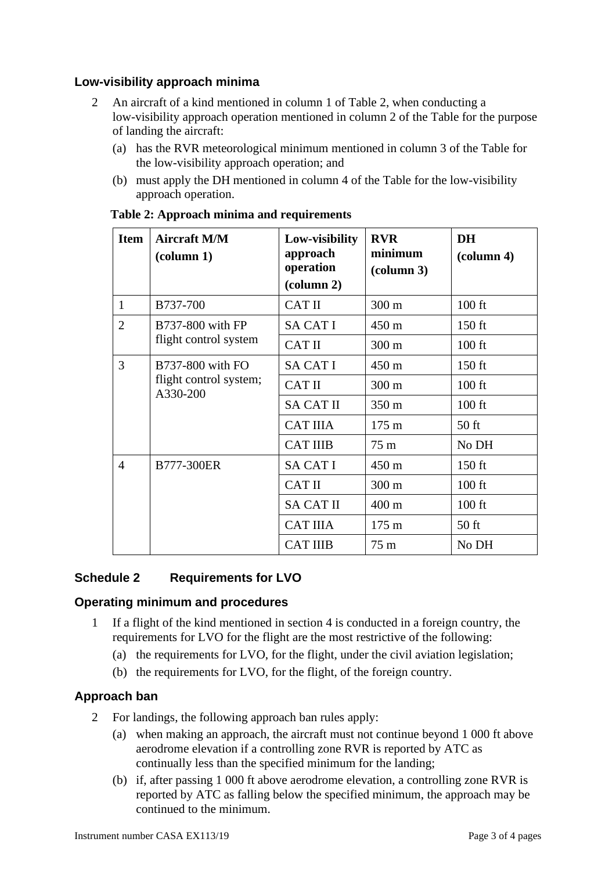# **Low-visibility approach minima**

- 2 An aircraft of a kind mentioned in column 1 of Table 2, when conducting a low-visibility approach operation mentioned in column 2 of the Table for the purpose of landing the aircraft:
	- (a) has the RVR meteorological minimum mentioned in column 3 of the Table for the low-visibility approach operation; and
	- (b) must apply the DH mentioned in column 4 of the Table for the low-visibility approach operation.

| <b>Item</b>    | <b>Aircraft M/M</b><br>$\left(\text{column } 1\right)$ | Low-visibility<br>approach<br>operation<br>$\left(\text{column } 2\right)$ | <b>RVR</b><br>minimum<br>$\left(\text{column }3\right)$ | <b>DH</b><br>$\text{(column 4)}$ |
|----------------|--------------------------------------------------------|----------------------------------------------------------------------------|---------------------------------------------------------|----------------------------------|
| 1              | B737-700                                               | <b>CAT II</b>                                                              | $300 \text{ m}$                                         | $100$ ft                         |
| $\overline{2}$ | <b>B737-800 with FP</b><br>flight control system       | <b>SA CAT I</b>                                                            | 450 m                                                   | $150$ ft                         |
|                |                                                        | <b>CAT II</b>                                                              | $300 \text{ m}$                                         | $100$ ft                         |
| 3              | B737-800 with FO<br>flight control system;<br>A330-200 | <b>SA CAT I</b>                                                            | 450 m                                                   | $150$ ft                         |
|                |                                                        | <b>CAT II</b>                                                              | 300 m                                                   | $100$ ft                         |
|                |                                                        | <b>SA CAT II</b>                                                           | 350 m                                                   | $100$ ft                         |
|                |                                                        | <b>CAT IIIA</b>                                                            | $175 \text{ m}$                                         | $50$ ft                          |
|                |                                                        | <b>CAT IIIB</b>                                                            | 75 m                                                    | No DH                            |
| $\overline{4}$ | <b>B777-300ER</b>                                      | <b>SA CAT I</b>                                                            | 450 m                                                   | $150$ ft                         |
|                |                                                        | <b>CAT II</b>                                                              | $300 \text{ m}$                                         | $100$ ft                         |
|                |                                                        | <b>SA CAT II</b>                                                           | $400 \text{ m}$                                         | $100$ ft                         |
|                |                                                        | <b>CAT IIIA</b>                                                            | $175 \text{ m}$                                         | $50$ ft                          |
|                |                                                        | <b>CAT IIIB</b>                                                            | 75 m                                                    | No DH                            |

#### **Table 2: Approach minima and requirements**

### **Schedule 2 Requirements for LVO**

#### **Operating minimum and procedures**

- 1 If a flight of the kind mentioned in section 4 is conducted in a foreign country, the requirements for LVO for the flight are the most restrictive of the following:
	- (a) the requirements for LVO, for the flight, under the civil aviation legislation;
	- (b) the requirements for LVO, for the flight, of the foreign country.

### **Approach ban**

- 2 For landings, the following approach ban rules apply:
	- (a) when making an approach, the aircraft must not continue beyond 1 000 ft above aerodrome elevation if a controlling zone RVR is reported by ATC as continually less than the specified minimum for the landing;
	- (b) if, after passing 1 000 ft above aerodrome elevation, a controlling zone RVR is reported by ATC as falling below the specified minimum, the approach may be continued to the minimum.